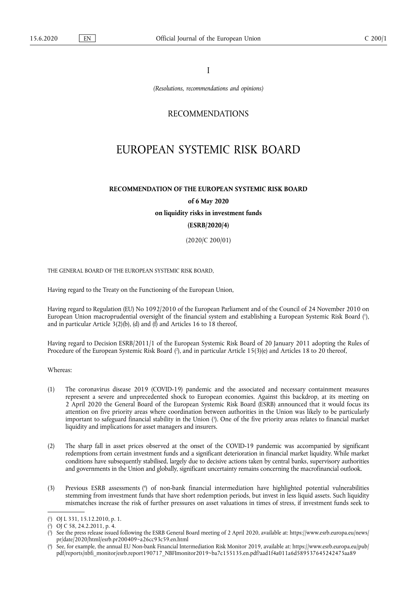I

*(Resolutions, recommendations and opinions)* 

# RECOMMENDATIONS

# EUROPEAN SYSTEMIC RISK BOARD

# **RECOMMENDATION OF THE EUROPEAN SYSTEMIC RISK BOARD of 6 May 2020**

**on liquidity risks in investment funds** 

# **(ESRB/2020/4)**

(2020/C 200/01)

THE GENERAL BOARD OF THE EUROPEAN SYSTEMIC RISK BOARD,

Having regard to the Treaty on the Functioning of the European Union,

<span id="page-0-4"></span>Having regard to Regulation (EU) No 1092/2010 of the European Parliament and of the Council of 24 November 2010 on European Union macroprudential oversight of the financial system and establishing a European Systemic Risk Board [\(](#page-0-0) 1 ), and in particular Article 3(2)(b), (d) and (f) and Articles 16 to 18 thereof,

<span id="page-0-5"></span>Having regard to Decision ESRB/2011/1 of the European Systemic Risk Board of 20 January 2011 adopting the Rules of Procedure of the European Systemic Risk Board (?[\),](#page-0-1) and in particular Article 15(3)(e) and Articles 18 to 20 thereof,

Whereas:

- <span id="page-0-6"></span>(1) The coronavirus disease 2019 (COVID-19) pandemic and the associated and necessary containment measures represent a severe and unprecedented shock to European economies. Against this backdrop, at its meeting on 2 April 2020 the General Board of the European Systemic Risk Board (ESRB) announced that it would focus its attention on five priority areas where coordination between authorities in the Union was likely to be particularly important to safeguard financial stability in the Union ( 3 [\).](#page-0-2) One of the five priority areas relates to financial market liquidity and implications for asset managers and insurers.
- (2) The sharp fall in asset prices observed at the onset of the COVID-19 pandemic was accompanied by significant redemptions from certain investment funds and a significant deterioration in financial market liquidity. While market conditions have subsequently stabilised, largely due to decisive actions taken by central banks, supervisory authorities and governments in the Union and globally, significant uncertainty remains concerning the macrofinancial outlook.
- <span id="page-0-7"></span>(3) Previous ESRB assessments ( 4 [\)](#page-0-3) of non-bank financial intermediation have highlighted potential vulnerabilities stemming from investment funds that have short redemption periods, but invest in less liquid assets. Such liquidity mismatches increase the risk of further pressures on asset valuations in times of stress, if investment funds seek to

<span id="page-0-0"></span>[<sup>\(</sup>](#page-0-4) 1 ) OJ L 331, 15.12.2010, p. 1.

<span id="page-0-1"></span>[<sup>\(</sup>](#page-0-5) 2 ) OJ C 58, 24.2.2011, p. 4.

<span id="page-0-2"></span>[<sup>\(</sup>](#page-0-6) 3 ) See the press release issued following the ESRB General Board meeting of 2 April 2020, available at: [https://www.esrb.europa.eu/news/](https://www.esrb.europa.eu/news/pr/date/2020/html/esrb.pr200409~a26cc93c59.en.html) [pr/date/2020/html/esrb.pr200409~a26cc93c59.en.html](https://www.esrb.europa.eu/news/pr/date/2020/html/esrb.pr200409~a26cc93c59.en.html)

<span id="page-0-3"></span>[<sup>\(</sup>](#page-0-7) 4 ) See, for example, the annual EU Non-bank Financial Intermediation Risk Monitor 2019, available at: [https://www.esrb.europa.eu/pub/](https://www.esrb.europa.eu/pub/pdf/reports/nbfi_monitor/esrb.report190717_NBFImonitor2019~ba7c155135.en.pdf?aad1f4a011a6d589537645242475aa89) [pdf/reports/nbfi\\_monitor/esrb.report190717\\_NBFImonitor2019~ba7c155135.en.pdf?aad1f4a011a6d589537645242475aa89](https://www.esrb.europa.eu/pub/pdf/reports/nbfi_monitor/esrb.report190717_NBFImonitor2019~ba7c155135.en.pdf?aad1f4a011a6d589537645242475aa89)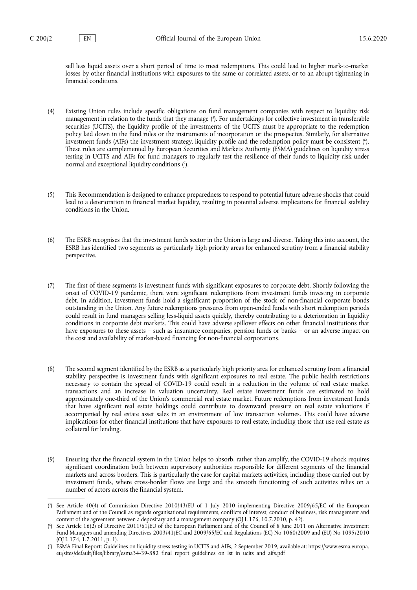sell less liquid assets over a short period of time to meet redemptions. This could lead to higher mark-to-market losses by other financial institutions with exposures to the same or correlated assets, or to an abrupt tightening in financial conditions.

- <span id="page-1-4"></span><span id="page-1-3"></span>(4) Existing Union rules include specific obligations on fund management companies with respect to liquidity risk management in relation to the funds that they manage [\(](#page-1-0) 5 ). For undertakings for collective investment in transferable securities (UCITS), the liquidity profile of the investments of the UCITS must be appropriate to the redemption policy laid down in the fund rules or the instruments of incorporation or the prospectus. Similarly, for alternative investment funds (AIFs) the investment strategy, liquidity profile and the redemption policy must be consistent [\(](#page-1-1) 6 ). These rules are complemented by European Securities and Markets Authority (ESMA) guidelines on liquidity stress testing in UCITS and AIFs for fund managers to regularly test the resilience of their funds to liquidity risk under normal and exceptional liquidity conditions ( 7 [\).](#page-1-2)
- <span id="page-1-5"></span>(5) This Recommendation is designed to enhance preparedness to respond to potential future adverse shocks that could lead to a deterioration in financial market liquidity, resulting in potential adverse implications for financial stability conditions in the Union.
- (6) The ESRB recognises that the investment funds sector in the Union is large and diverse. Taking this into account, the ESRB has identified two segments as particularly high priority areas for enhanced scrutiny from a financial stability perspective.
- (7) The first of these segments is investment funds with significant exposures to corporate debt. Shortly following the onset of COVID-19 pandemic, there were significant redemptions from investment funds investing in corporate debt. In addition, investment funds hold a significant proportion of the stock of non-financial corporate bonds outstanding in the Union. Any future redemptions pressures from open-ended funds with short redemption periods could result in fund managers selling less-liquid assets quickly, thereby contributing to a deterioration in liquidity conditions in corporate debt markets. This could have adverse spillover effects on other financial institutions that have exposures to these assets – such as insurance companies, pension funds or banks – or an adverse impact on the cost and availability of market-based financing for non-financial corporations.
- (8) The second segment identified by the ESRB as a particularly high priority area for enhanced scrutiny from a financial stability perspective is investment funds with significant exposures to real estate. The public health restrictions necessary to contain the spread of COVID-19 could result in a reduction in the volume of real estate market transactions and an increase in valuation uncertainty. Real estate investment funds are estimated to hold approximately one-third of the Union's commercial real estate market. Future redemptions from investment funds that have significant real estate holdings could contribute to downward pressure on real estate valuations if accompanied by real estate asset sales in an environment of low transaction volumes. This could have adverse implications for other financial institutions that have exposures to real estate, including those that use real estate as collateral for lending.
- (9) Ensuring that the financial system in the Union helps to absorb, rather than amplify, the COVID-19 shock requires significant coordination both between supervisory authorities responsible for different segments of the financial markets and across borders. This is particularly the case for capital markets activities, including those carried out by investment funds, where cross-border flows are large and the smooth functioning of such activities relies on a number of actors across the financial system.

<span id="page-1-0"></span>[<sup>\(</sup>](#page-1-3) 5 ) See Article 40(4) of Commission Directive 2010/43/EU of 1 July 2010 implementing Directive 2009/65/EC of the European Parliament and of the Council as regards organisational requirements, conflicts of interest, conduct of business, risk management and content of the agreement between a depositary and a management company (OJ L 176, 10.7.2010, p. 42).

<span id="page-1-1"></span>[<sup>\(</sup>](#page-1-4) 6 ) See Article 16(2) of Directive 2011/61/EU of the European Parliament and of the Council of 8 June 2011 on Alternative Investment Fund Managers and amending Directives 2003/41/EC and 2009/65/EC and Regulations (EC) No 1060/2009 and (EU) No 1095/2010 (OJ L 174, 1.7.2011, p. 1).

<span id="page-1-2"></span>[<sup>\(</sup>](#page-1-5) 7 ) ESMA Final Report: Guidelines on liquidity stress testing in UCITS and AIFs, 2 September 2019, available at: [https://www.esma.europa.](https://www.esma.europa.eu/sites/default/files/library/esma34-39-882_final_report_guidelines_on_lst_in_ucits_and_aifs.pdf) [eu/sites/default/files/library/esma34-39-882\\_final\\_report\\_guidelines\\_on\\_lst\\_in\\_ucits\\_and\\_aifs.pdf](https://www.esma.europa.eu/sites/default/files/library/esma34-39-882_final_report_guidelines_on_lst_in_ucits_and_aifs.pdf)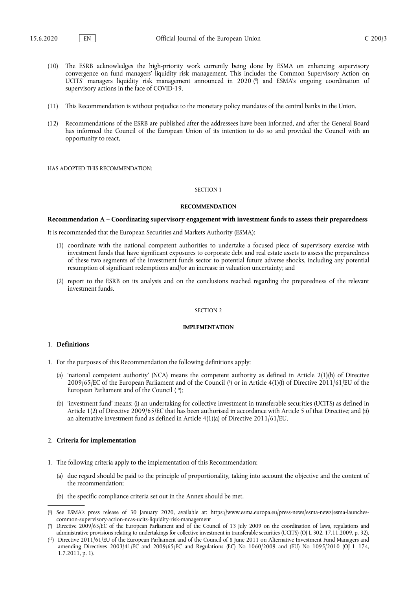- <span id="page-2-3"></span>(10) The ESRB acknowledges the high-priority work currently being done by ESMA on enhancing supervisory convergence on fund managers' liquidity risk management. This includes the Common Supervisory Action on UCITS' managers liquidity risk management announced in 2020 [\(](#page-2-0) 8 ) and ESMA's ongoing coordination of supervisory actions in the face of COVID-19.
- (11) This Recommendation is without prejudice to the monetary policy mandates of the central banks in the Union.
- (12) Recommendations of the ESRB are published after the addressees have been informed, and after the General Board has informed the Council of the European Union of its intention to do so and provided the Council with an opportunity to react,

HAS ADOPTED THIS RECOMMENDATION:

# SECTION 1

#### **RECOMMENDATION**

# **Recommendation A – Coordinating supervisory engagement with investment funds to assess their preparedness**

It is recommended that the European Securities and Markets Authority (ESMA):

- (1) coordinate with the national competent authorities to undertake a focused piece of supervisory exercise with investment funds that have significant exposures to corporate debt and real estate assets to assess the preparedness of these two segments of the investment funds sector to potential future adverse shocks, including any potential resumption of significant redemptions and/or an increase in valuation uncertainty; and
- (2) report to the ESRB on its analysis and on the conclusions reached regarding the preparedness of the relevant investment funds.

# SECTION 2

# **IMPLEMENTATION**

# 1. **Definitions**

- <span id="page-2-5"></span><span id="page-2-4"></span>1. For the purposes of this Recommendation the following definitions apply:
	- (a) 'national competent authority' (NCA) means the competent authority as defined in Article 2(1)(h) of Directive 2009/65/EC of the European Parliament and of the Council ( $\degree$ [\)](#page-2-1) or in Article 4(1)(f) of Directive 2011/61/EU of the European Parliament and of the Council  $(10)$  $(10)$ ;
	- (b) 'investment fund' means: (i) an undertaking for collective investment in transferable securities (UCITS) as defined in Article 1(2) of Directive 2009/65/EC that has been authorised in accordance with Article 5 of that Directive; and (ii) an alternative investment fund as defined in Article 4(1)(a) of Directive 2011/61/EU.

### 2. **Criteria for implementation**

- 1. The following criteria apply to the implementation of this Recommendation:
	- (a) due regard should be paid to the principle of proportionality, taking into account the objective and the content of the recommendation;
	- (b) the specific compliance criteria set out in the Annex should be met.

<span id="page-2-0"></span>[<sup>\(</sup>](#page-2-3) 8 ) See ESMA's press release of 30 January 2020, available at: [https://www.esma.europa.eu/press-news/esma-news/esma-launches](https://www.esma.europa.eu/press-news/esma-news/esma-launches-common-supervisory-action-ncas-ucits-liquidity-risk-management)[common-supervisory-action-ncas-ucits-liquidity-risk-management](https://www.esma.europa.eu/press-news/esma-news/esma-launches-common-supervisory-action-ncas-ucits-liquidity-risk-management)

<span id="page-2-1"></span>[<sup>\(</sup>](#page-2-4) 9 ) Directive 2009/65/EC of the European Parliament and of the Council of 13 July 2009 on the coordination of laws, regulations and administrative provisions relating to undertakings for collective investment in transferable securities (UCITS) (OJ L 302, 17.11.2009, p. 32).

<span id="page-2-2"></span><sup>(</sup> [10\)](#page-2-5) Directive 2011/61/EU of the European Parliament and of the Council of 8 June 2011 on Alternative Investment Fund Managers and amending Directives 2003/41/EC and 2009/65/EC and Regulations (EC) No 1060/2009 and (EU) No 1095/2010 (OJ L 174, 1.7.2011, p. 1).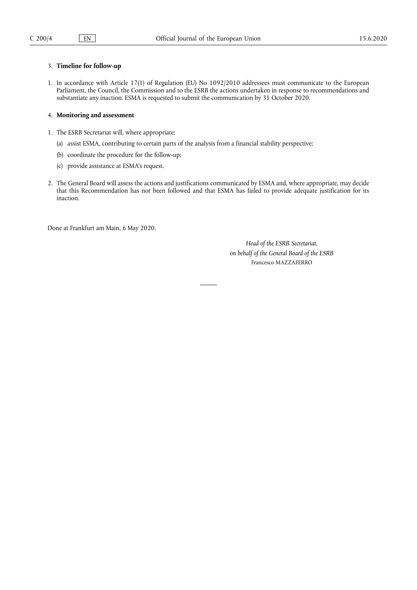# 3. **Timeline for follow-up**

1. In accordance with Article 17(1) of Regulation (EU) No 1092/2010 addressees must communicate to the European Parliament, the Council, the Commission and to the ESRB the actions undertaken in response to recommendations and substantiate any inaction. ESMA is requested to submit the communication by 31 October 2020.

# 4. **Monitoring and assessment**

- 1. The ESRB Secretariat will, where appropriate:
	- (a) assist ESMA, contributing to certain parts of the analysis from a financial stability perspective;
	- (b) coordinate the procedure for the follow-up;
	- (c) provide assistance at ESMA's request.
- 2. The General Board will assess the actions and justifications communicated by ESMA and, where appropriate, may decide that this Recommendation has not been followed and that ESMA has failed to provide adequate justification for its inaction.

Done at Frankfurt am Main, 6 May 2020.

*Head of the ESRB Secretariat, on behalf of the General Board of the ESRB*  Francesco MAZZAFERRO